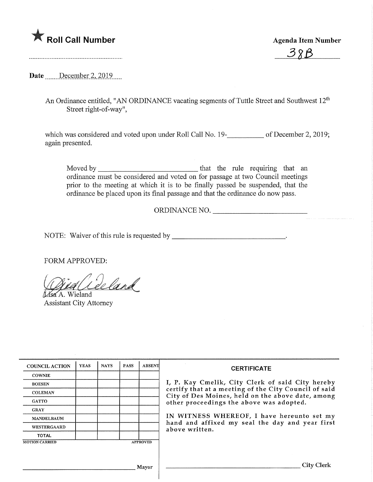## **Agenda Item Number Agenda Item Number** Agenda Item Number



Date .......December 2, 2019....

An Ordinance entitled, "AN ORDINANCE vacating segments of Tuttle Street and Southwest 12<sup>th</sup> Street right-of-way",

which was considered and voted upon under Roll Call No. 19-**10. Allectuary 10** of December 2, 2019; again presented.

Moved by that the rule requiring that an. ordinance must be considered and voted on for passage at two Council meetings prior to the meeting at which it is to be finally passed be suspended, that the ordinance be placed upon its final passage and that the ordinance do now pass.

ORDINANCE NO.

NOTE: Waiver of this rule is requested by

FORM APPROVED:

Mid Ceeland

Assistant City Attorney

| <b>COUNCIL ACTION</b> | <b>YEAS</b>     | <b>NAYS</b> | <b>PASS</b> | <b>ABSENT</b> | <b>CERTIFICATE</b>                                                                                                                                                                                                                                                                                                            |
|-----------------------|-----------------|-------------|-------------|---------------|-------------------------------------------------------------------------------------------------------------------------------------------------------------------------------------------------------------------------------------------------------------------------------------------------------------------------------|
| <b>COWNIE</b>         |                 |             |             |               |                                                                                                                                                                                                                                                                                                                               |
| <b>BOESEN</b>         |                 |             |             |               | I, P. Kay Cmelik, City Clerk of said City hereby<br>certify that at a meeting of the City Council of said<br>City of Des Moines, held on the above date, among<br>other proceedings the above was adopted.<br>IN WITNESS WHEREOF, I have hereunto set my<br>hand and affixed my seal the day and year first<br>above written. |
| <b>COLEMAN</b>        |                 |             |             |               |                                                                                                                                                                                                                                                                                                                               |
| <b>GATTO</b>          |                 |             |             |               |                                                                                                                                                                                                                                                                                                                               |
| <b>GRAY</b>           |                 |             |             |               |                                                                                                                                                                                                                                                                                                                               |
| <b>MANDELBAUM</b>     |                 |             |             |               |                                                                                                                                                                                                                                                                                                                               |
| <b>WESTERGAARD</b>    |                 |             |             |               |                                                                                                                                                                                                                                                                                                                               |
| <b>TOTAL</b>          |                 |             |             |               |                                                                                                                                                                                                                                                                                                                               |
| <b>MOTION CARRIED</b> | <b>APPROVED</b> |             |             |               |                                                                                                                                                                                                                                                                                                                               |
|                       |                 |             |             |               |                                                                                                                                                                                                                                                                                                                               |
|                       |                 |             |             |               |                                                                                                                                                                                                                                                                                                                               |
| Mayor                 |                 |             |             |               | City Clerk                                                                                                                                                                                                                                                                                                                    |